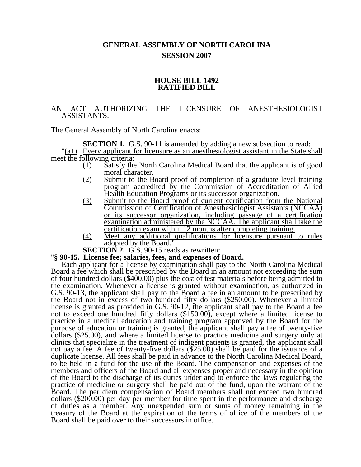# **GENERAL ASSEMBLY OF NORTH CAROLINA SESSION 2007**

#### **HOUSE BILL 1492 RATIFIED BILL**

## AN ACT AUTHORIZING THE LICENSURE OF ANESTHESIOLOGIST ASSISTANTS.

The General Assembly of North Carolina enacts:

**SECTION 1.** G.S. 90-11 is amended by adding a new subsection to read: "(a1) Every applicant for licensure as an anesthesiologist assistant in the State shall meet the following criteria:

- (1) Satisfy the North Carolina Medical Board that the applicant is of good moral character.
- (2) Submit to the Board proof of completion of a graduate level training program accredited by the Commission of Accreditation of Allied Health Education Programs or its successor organization.
- (3) Submit to the Board proof of current certification from the National Commission of Certification of Anesthesiologist Assistants (NCCAA) or its successor organization, including passage of a certification examination administered by the NCCAA. The applicant shall take the certification exam within 12 months after completing training.
- (4) Meet any additional qualifications for licensure pursuant to rules  $\overline{\text{adopted by the Board.}}$ "<br>**SECTION 2.** G.S. 90-15 reads as rewritten:

#### **''§ 90-15. License fee; salaries, fees, and expenses of Board.**

Each applicant for a license by examination shall pay to the North Carolina Medical Board a fee which shall be prescribed by the Board in an amount not exceeding the sum of four hundred dollars (\$400.00) plus the cost of test materials before being admitted to the examination. Whenever a license is granted without examination, as authorized in G.S. 90-13, the applicant shall pay to the Board a fee in an amount to be prescribed by the Board not in excess of two hundred fifty dollars (\$250.00). Whenever a limited license is granted as provided in G.S. 90-12, the applicant shall pay to the Board a fee not to exceed one hundred fifty dollars (\$150.00), except where a limited license to practice in a medical education and training program approved by the Board for the purpose of education or training is granted, the applicant shall pay a fee of twenty-five dollars (\$25.00), and where a limited license to practice medicine and surgery only at clinics that specialize in the treatment of indigent patients is granted, the applicant shall not pay a fee. A fee of twenty-five dollars (\$25.00) shall be paid for the issuance of a duplicate license. All fees shall be paid in advance to the North Carolina Medical Board, to be held in a fund for the use of the Board. The compensation and expenses of the members and officers of the Board and all expenses proper and necessary in the opinion of the Board to the discharge of its duties under and to enforce the laws regulating the practice of medicine or surgery shall be paid out of the fund, upon the warrant of the Board. The per diem compensation of Board members shall not exceed two hundred dollars (\$200.00) per day per member for time spent in the performance and discharge of duties as a member. Any unexpended sum or sums of money remaining in the treasury of the Board at the expiration of the terms of office of the members of the Board shall be paid over to their successors in office.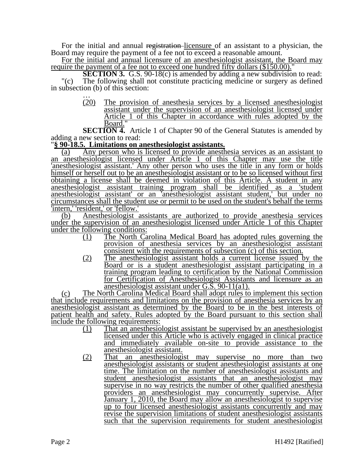For the initial and annual registration-licensure of an assistant to a physician, the Board may require the payment of a fee not to exceed a reasonable amount.

For the initial and annual licensure of an anesthesiologist assistant, the Board may require the payment of a fee not to exceed one hundred fifty dollars (\$150.00)."

**SECTION 3.** G.S. 90-18(c) is amended by adding a new subdivision to read: "(c) The following shall not constitute practicing medicine or surgery as defined in subsection (b) of this section:<br>  $\frac{1}{20}$  The provision

The provision of anesthesia services by a licensed anesthesiologist assistant under the supervision of an anesthesiologist licensed under Article 1 of this Chapter in accordance with rules adopted by the Board."

**SECTION 4.** Article 1 of Chapter 90 of the General Statutes is amended by adding a new section to read:

### "**§ 90-18.5. Limitations on anesthesiologist assistants.**

(a) Any person who is licensed to provide anesthesia services as an assistant to an anesthesiologist licensed under Article 1 of this Chapter may use the title 'anesthesiologist assistant.' Any other person who uses the title in any form or holds himself or herself out to be an anesthesiologist assistant or to be so licensed without first obtaining a license shall be deemed in violation of this Article. A student in any anesthesiologist assistant training program shall be identified as a 'student anesthesiologist assistant' or an 'anesthesiologist assistant student,' but under no circumstances shall the student use or permit to be used on the student's behalf the terms 'intern,' 'resident,' or 'fellow.'

(b) Anesthesiologist assistants are authorized to provide anesthesia services under the supervision of an anesthesiologist licensed under Article 1 of this Chapter under the following conditions:

- (1) The North Carolina Medical Board has adopted rules governing the provision of anesthesia services by an anesthesiologist assistant consistent with the requirements of subsection (c) of this section.
- (2) The anesthesiologist assistant holds a current license issued by the Board or is a student anesthesiologist assistant participating in a training program leading to certification by the National Commission for Certification of Anesthesiologist Assistants and licensure as an anesthesiologist assistant under G.S. 90-11(a1).

(c) The North Carolina Medical Board shall adopt rules to implement this section that include requirements and limitations on the provision of anesthesia services by an anesthesiologist assistant as determined by the Board to be in the best interests of patient health and safety. Rules adopted by the Board pursuant to this section shall include the following requirements:

- (1) That an anesthesiologist assistant be supervised by an anesthesiologist licensed under this Article who is actively engaged in clinical practice and immediately available on-site to provide assistance to the anesthesiologist assistant.
- (2) That an anesthesiologist may supervise no more than two anesthesiologist assistants or student anesthesiologist assistants at one time. The limitation on the number of anesthesiologist assistants and student anesthesiologist assistants that an anesthesiologist may supervise in no way restricts the number of other qualified anesthesia providers an anesthesiologist may concurrently supervise. After January 1, 2010, the Board may allow an anesthesiologist to supervise up to four licensed anesthesiologist assistants concurrently and may revise the supervision limitations of student anesthesiologist assistants such that the supervision requirements for student anesthesiologist